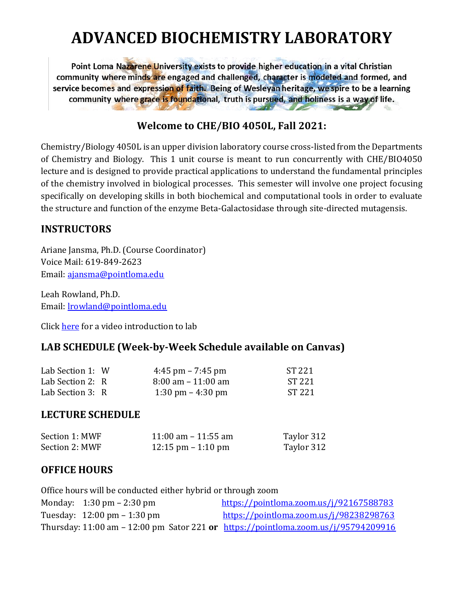# **ADVANCED BIOCHEMISTRY LABORATORY**

Point Loma Nazarene University exists to provide higher education in a vital Christian community where minds are engaged and challenged, character is modeled and formed, and service becomes and expression of faith. Being of Wesleyan heritage, we spire to be a learning community where grace is foundational, truth is pursued, and holiness is a way of life.

## **Welcome to CHE/BIO 4050L, Fall 2021:**

Chemistry/Biology 4050L is an upper division laboratory course cross-listed from the Departments of Chemistry and Biology. This 1 unit course is meant to run concurrently with CHE/BIO4050 lecture and is designed to provide practical applications to understand the fundamental principles of the chemistry involved in biological processes. This semester will involve one project focusing specifically on developing skills in both biochemical and computational tools in order to evaluate the structure and function of the enzyme Beta-Galactosidase through site-directed mutagensis.

## **INSTRUCTORS**

Ariane Jansma, Ph.D. (Course Coordinator) Voice Mail: 619-849-2623 Email: [ajansma@pointloma.edu](mailto:ajansma@pointloma.edu)

Leah Rowland, Ph.D. Email: [lrowland@pointloma.edu](mailto:lrowland@pointloma.edu) 

Click [here](https://youtu.be/peQV9cGLwRc) for a video introduction to lab

## **LAB SCHEDULE (Week-by-Week Schedule available on Canvas)**

| Lab Section 1: W | $4:45$ pm – 7:45 pm                  | ST 221 |
|------------------|--------------------------------------|--------|
| Lab Section 2: R | $8:00 \text{ am} - 11:00 \text{ am}$ | ST 221 |
| Lab Section 3: R | 1:30 pm $-$ 4:30 pm                  | ST 221 |

#### **LECTURE SCHEDULE**

| Section 1: MWF | 11:00 am $-$ 11:55 am                | Taylor 312 |
|----------------|--------------------------------------|------------|
| Section 2: MWF | $12:15 \text{ pm} - 1:10 \text{ pm}$ | Taylor 312 |

#### **OFFICE HOURS**

Office hours will be conducted either hybrid or through zoom Monday: 1:30 pm – 2:30 pm  $\frac{https://pointloma.zoom.us/i/92167588783}{https://pointloma.zoom.us/i/92167588783}$ Tuesday: 12:00 pm – 1:30 pm <https://pointloma.zoom.us/j/98238298763> Thursday: 11:00 am – 12:00 pm Sator 221 **or** <https://pointloma.zoom.us/j/95794209916>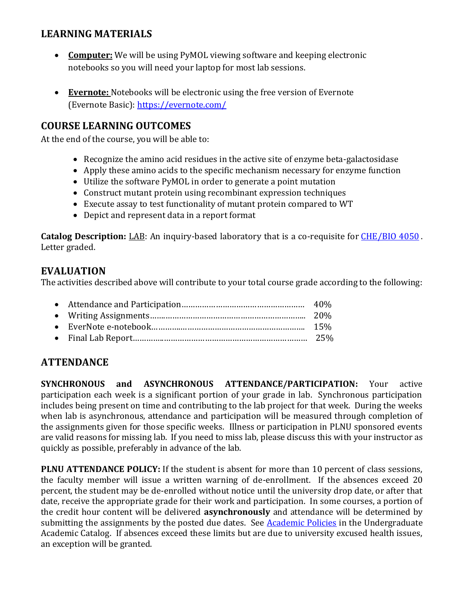## **LEARNING MATERIALS**

- **Computer:** We will be using PyMOL viewing software and keeping electronic notebooks so you will need your laptop for most lab sessions.
- **Evernote:** Notebooks will be electronic using the free version of Evernote (Evernote Basic):<https://evernote.com/>

## **COURSE LEARNING OUTCOMES**

At the end of the course, you will be able to:

- Recognize the amino acid residues in the active site of enzyme beta-galactosidase
- Apply these amino acids to the specific mechanism necessary for enzyme function
- Utilize the software PyMOL in order to generate a point mutation
- Construct mutant protein using recombinant expression techniques
- Execute assay to test functionality of mutant protein compared to WT
- Depict and represent data in a report format

**Catalog Description:** LAB: An inquiry-based laboratory that is a co-requisite for [CHE/BIO](https://catalog.pointloma.edu/search_advanced.php?cur_cat_oid=35&search_database=Search&search_db=Search&cpage=1&ecpage=1&ppage=1&spage=1&tpage=1&location=3&filter%5Bkeyword%5D=CHE450L#tt9529) 4050 . Letter graded.

#### **EVALUATION**

The activities described above will contribute to your total course grade according to the following:

## **ATTENDANCE**

**SYNCHRONOUS and ASYNCHRONOUS ATTENDANCE/PARTICIPATION:** Your active participation each week is a significant portion of your grade in lab. Synchronous participation includes being present on time and contributing to the lab project for that week. During the weeks when lab is asynchronous, attendance and participation will be measured through completion of the assignments given for those specific weeks. Illness or participation in PLNU sponsored events are valid reasons for missing lab. If you need to miss lab, please discuss this with your instructor as quickly as possible, preferably in advance of the lab.

**PLNU ATTENDANCE POLICY:** If the student is absent for more than 10 percent of class sessions, the faculty member will issue a written warning of de-enrollment. If the absences exceed 20 percent, the student may be de-enrolled without notice until the university drop date, or after that date, receive the appropriate grade for their work and participation. In some courses, a portion of the credit hour content will be delivered **asynchronously** and attendance will be determined by submitting the assignments by the posted due dates. See [Academic Policies](https://catalog.pointloma.edu/content.php?catoid=46&navoid=2650#Class_Attendance) in the Undergraduate Academic Catalog. If absences exceed these limits but are due to university excused health issues, an exception will be granted.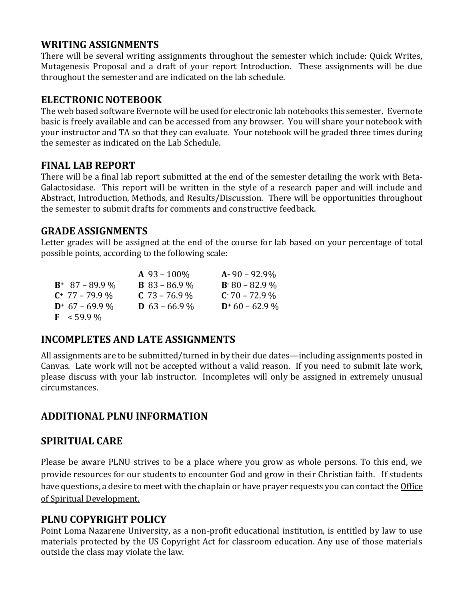## **WRITING ASSIGNMENTS**

There will be several writing assignments throughout the semester which include: Quick Writes, Mutagenesis Proposal and a draft of your report Introduction. These assignments will be due throughout the semester and are indicated on the lab schedule.

#### **ELECTRONIC NOTEBOOK**

The web based software Evernote will be used for electronic lab notebooks this semester. Evernote basic is freely available and can be accessed from any browser. You will share your notebook with your instructor and TA so that they can evaluate. Your notebook will be graded three times during the semester as indicated on the Lab Schedule.

#### **FINAL LAB REPORT**

There will be a final lab report submitted at the end of the semester detailing the work with Beta-Galactosidase. This report will be written in the style of a research paper and will include and Abstract, Introduction, Methods, and Results/Discussion. There will be opportunities throughout the semester to submit drafts for comments and constructive feedback.

#### **GRADE ASSIGNMENTS**

Letter grades will be assigned at the end of the course for lab based on your percentage of total possible points, according to the following scale:

|                       | $A\,93-100\%$        | $A - 90 - 92.9\%$  |
|-----------------------|----------------------|--------------------|
| $B^+$ 87 – 89.9 %     | <b>B</b> 83 – 86.9 % | $B - 80 - 82.9 \%$ |
| $C^+$ 77 – 79.9 %     | $C$ 73 – 76.9 %      | $C - 70 - 72.9\%$  |
| $D^+$ 67 – 69.9 %     | <b>D</b> 63 – 66.9 % | $D+60-62.9\%$      |
| $\mathbf{F}$ < 59.9 % |                      |                    |

## **INCOMPLETES AND LATE ASSIGNMENTS**

All assignments are to be submitted/turned in by their due dates—including assignments posted in Canvas. Late work will not be accepted without a valid reason. If you need to submit late work, please discuss with your lab instructor. Incompletes will only be assigned in extremely unusual circumstances.

# **ADDITIONAL PLNU INFORMATION**

## **SPIRITUAL CARE**

Please be aware PLNU strives to be a place where you grow as whole persons. To this end, we provide resources for our students to encounter God and grow in their Christian faith. If students have questions, a desire to meet with the chaplain or have prayer requests you can contact the *Office* of Spiritual Development.

## **PLNU COPYRIGHT POLICY**

Point Loma Nazarene University, as a non-profit educational institution, is entitled by law to use materials protected by the US Copyright Act for classroom education. Any use of those materials outside the class may violate the law.